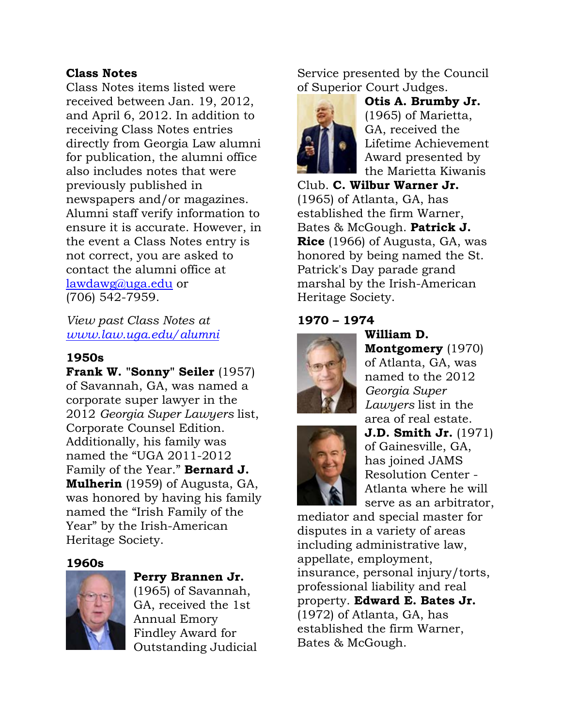# **Class Notes**

Class Notes items listed were received between Jan. 19, 2012, and April 6, 2012. In addition to receiving Class Notes entries directly from Georgia Law alumni for publication, the alumni office also includes notes that were previously published in newspapers and/or magazines. Alumni staff verify information to ensure it is accurate. However, in the event a Class Notes entry is not correct, you are asked to contact the alumni office at lawdawg@uga.edu or (706) 542-7959.

*View past Class Notes at www.law.uga.edu/alumni*

# **1950s**

**Frank W. "Sonny" Seiler** (1957) of Savannah, GA, was named a corporate super lawyer in the 2012 *Georgia Super Lawyers* list, Corporate Counsel Edition. Additionally, his family was named the "UGA 2011-2012 Family of the Year." **Bernard J. Mulherin** (1959) of Augusta, GA, was honored by having his family named the "Irish Family of the Year" by the Irish-American Heritage Society.

### **1960s**



### **Perry Brannen Jr.**

(1965) of Savannah, GA, received the 1st Annual Emory Findley Award for Outstanding Judicial Service presented by the Council of Superior Court Judges.



**Otis A. Brumby Jr.** (1965) of Marietta, GA, received the Lifetime Achievement Award presented by the Marietta Kiwanis

Club. **C. Wilbur Warner Jr.** (1965) of Atlanta, GA, has established the firm Warner, Bates & McGough. **Patrick J. Rice** (1966) of Augusta, GA, was honored by being named the St. Patrick's Day parade grand marshal by the Irish-American Heritage Society.

### **1970 – 1974**



**William D. Montgomery** (1970) of Atlanta, GA, was named to the 2012 *Georgia Super Lawyers* list in the area of real estate.



**J.D. Smith Jr.** (1971) of Gainesville, GA, has joined JAMS Resolution Center - Atlanta where he will serve as an arbitrator,

mediator and special master for disputes in a variety of areas including administrative law, appellate, employment, insurance, personal injury/torts, professional liability and real property. **Edward E. Bates Jr.** (1972) of Atlanta, GA, has established the firm Warner, Bates & McGough.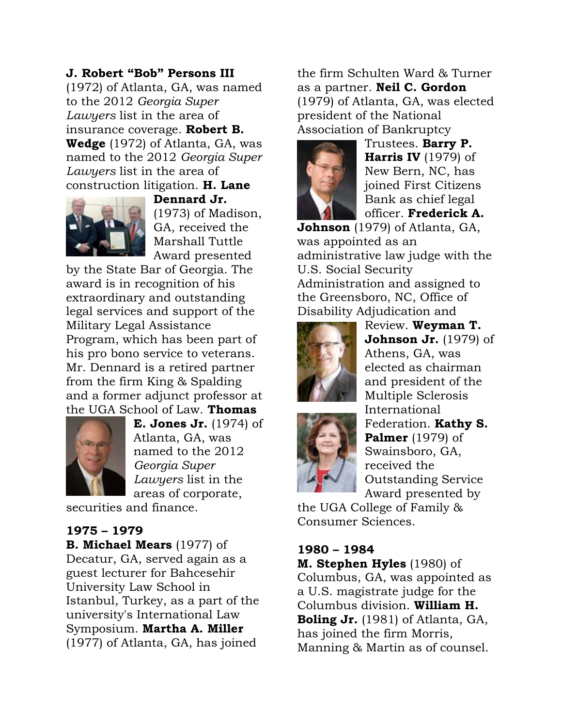### **J. Robert "Bob" Persons III**

(1972) of Atlanta, GA, was named to the 2012 *Georgia Super Lawyers* list in the area of insurance coverage. **Robert B. Wedge** (1972) of Atlanta, GA, was named to the 2012 *Georgia Super Lawyers* list in the area of construction litigation. **H. Lane** 



**Dennard Jr.** (1973) of Madison, GA, received the Marshall Tuttle Award presented

by the State Bar of Georgia. The award is in recognition of his extraordinary and outstanding legal services and support of the Military Legal Assistance Program, which has been part of his pro bono service to veterans. Mr. Dennard is a retired partner from the firm King & Spalding and a former adjunct professor at the UGA School of Law. **Thomas** 



**E. Jones Jr.** (1974) of Atlanta, GA, was named to the 2012 *Georgia Super Lawyers* list in the areas of corporate,

securities and finance.

# **1975 – 1979**

**B. Michael Mears** (1977) of Decatur, GA, served again as a guest lecturer for Bahcesehir University Law School in Istanbul, Turkey, as a part of the university's International Law Symposium. **Martha A. Miller** (1977) of Atlanta, GA, has joined

the firm Schulten Ward & Turner as a partner. **Neil C. Gordon** (1979) of Atlanta, GA, was elected president of the National Association of Bankruptcy



Trustees. **Barry P. Harris IV** (1979) of New Bern, NC, has joined First Citizens Bank as chief legal officer. **Frederick A.** 

**Johnson** (1979) of Atlanta, GA, was appointed as an administrative law judge with the U.S. Social Security Administration and assigned to the Greensboro, NC, Office of Disability Adjudication and





the UGA College of Family & Consumer Sciences.

#### **1980 – 1984**

**M. Stephen Hyles** (1980) of Columbus, GA, was appointed as a U.S. magistrate judge for the Columbus division. **William H. Boling Jr.** (1981) of Atlanta, GA, has joined the firm Morris, Manning & Martin as of counsel.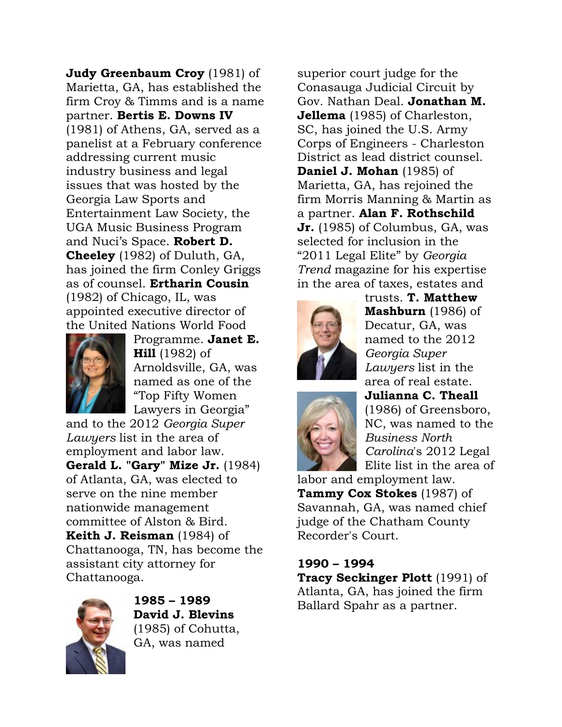**Judy Greenbaum Croy** (1981) of Marietta, GA, has established the firm Croy & Timms and is a name partner. **Bertis E. Downs IV** (1981) of Athens, GA, served as a panelist at a February conference addressing current music industry business and legal issues that was hosted by the Georgia Law Sports and Entertainment Law Society, the UGA Music Business Program and Nuci's Space. **Robert D. Cheeley** (1982) of Duluth, GA, has joined the firm Conley Griggs as of counsel. **Ertharin Cousin** (1982) of Chicago, IL, was appointed executive director of the United Nations World Food



Programme. **Janet E. Hill** (1982) of Arnoldsville, GA, was named as one of the "Top Fifty Women Lawyers in Georgia"

and to the 2012 *Georgia Super Lawyers* list in the area of employment and labor law. **Gerald L. "Gary" Mize Jr.** (1984) of Atlanta, GA, was elected to serve on the nine member nationwide management committee of Alston & Bird. **Keith J. Reisman** (1984) of Chattanooga, TN, has become the assistant city attorney for Chattanooga.



**1985 – 1989 David J. Blevins** (1985) of Cohutta, GA, was named

superior court judge for the Conasauga Judicial Circuit by Gov. Nathan Deal. **Jonathan M. Jellema** (1985) of Charleston, SC, has joined the U.S. Army Corps of Engineers - Charleston District as lead district counsel. **Daniel J. Mohan** (1985) of Marietta, GA, has rejoined the firm Morris Manning & Martin as a partner. **Alan F. Rothschild Jr.** (1985) of Columbus, GA, was selected for inclusion in the "2011 Legal Elite" by *Georgia Trend* magazine for his expertise in the area of taxes, estates and



trusts. **T. Matthew Mashburn** (1986) of Decatur, GA, was named to the 2012 *Georgia Super Lawyers* list in the area of real estate. **Julianna C. Theall**



(1986) of Greensboro, NC, was named to the *Business North Carolina*'s 2012 Legal Elite list in the area of

labor and employment law. **Tammy Cox Stokes** (1987) of Savannah, GA, was named chief judge of the Chatham County Recorder's Court.

#### **1990 – 1994**

**Tracy Seckinger Plott** (1991) of Atlanta, GA, has joined the firm Ballard Spahr as a partner.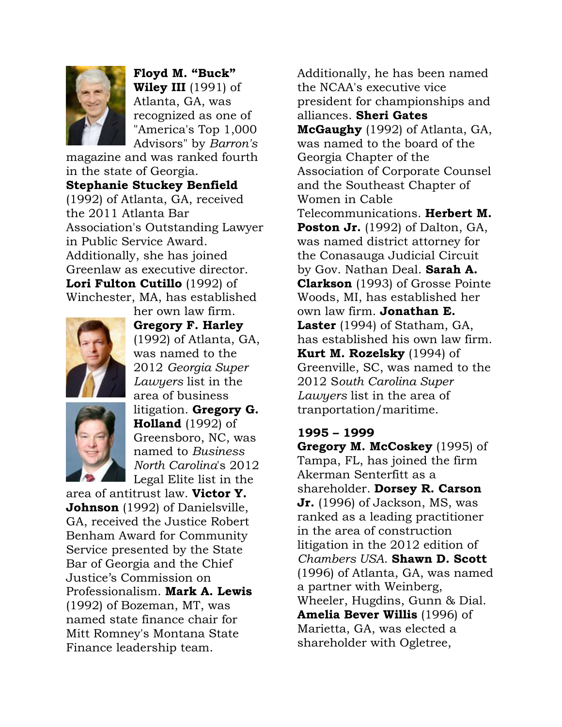

**Floyd M. "Buck" Wiley III** (1991) of Atlanta, GA, was recognized as one of "America's Top 1,000 Advisors" by *Barron's*

magazine and was ranked fourth in the state of Georgia. **Stephanie Stuckey Benfield** (1992) of Atlanta, GA, received the 2011 Atlanta Bar Association's Outstanding Lawyer in Public Service Award. Additionally, she has joined Greenlaw as executive director. **Lori Fulton Cutillo** (1992) of Winchester, MA, has established



**Gregory F. Harley** (1992) of Atlanta, GA, was named to the 2012 *Georgia Super Lawyers* list in the area of business litigation. **Gregory G. Holland** (1992) of Greensboro, NC, was named to *Business North Carolina*'s 2012 Legal Elite list in the

her own law firm.

area of antitrust law. **Victor Y. Johnson** (1992) of Danielsville, GA, received the Justice Robert Benham Award for Community Service presented by the State Bar of Georgia and the Chief Justice's Commission on Professionalism. **Mark A. Lewis** (1992) of Bozeman, MT, was named state finance chair for Mitt Romney's Montana State Finance leadership team.

Additionally, he has been named the NCAA's executive vice president for championships and alliances. **Sheri Gates McGaughy** (1992) of Atlanta, GA, was named to the board of the Georgia Chapter of the Association of Corporate Counsel and the Southeast Chapter of Women in Cable Telecommunications. **Herbert M. Poston Jr.** (1992) of Dalton, GA, was named district attorney for the Conasauga Judicial Circuit by Gov. Nathan Deal. **Sarah A. Clarkson** (1993) of Grosse Pointe Woods, MI, has established her own law firm. **Jonathan E. Laster** (1994) of Statham, GA, has established his own law firm. **Kurt M. Rozelsky** (1994) of Greenville, SC, was named to the 2012 S*outh Carolina Super Lawyers* list in the area of tranportation/maritime.

### **1995 – 1999**

**Gregory M. McCoskey** (1995) of Tampa, FL, has joined the firm Akerman Senterfitt as a shareholder. **Dorsey R. Carson Jr.** (1996) of Jackson, MS, was ranked as a leading practitioner in the area of construction litigation in the 2012 edition of *Chambers USA*. **Shawn D. Scott** (1996) of Atlanta, GA, was named a partner with Weinberg, Wheeler, Hugdins, Gunn & Dial. **Amelia Bever Willis** (1996) of Marietta, GA, was elected a shareholder with Ogletree,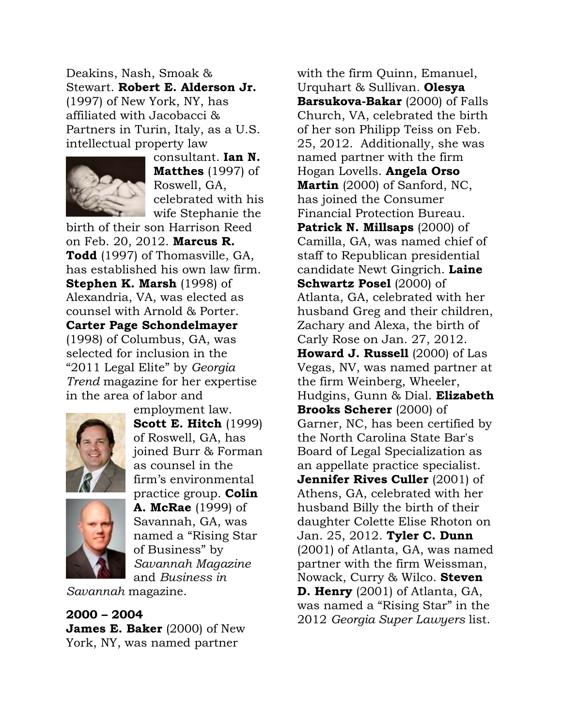Deakins, Nash, Smoak & Stewart. **Robert E. Alderson Jr.** (1997) of New York, NY, has affiliated with Jacobacci & Partners in Turin, Italy, as a U.S. intellectual property law



consultant. **Ian N. Matthes** (1997) of Roswell, GA, celebrated with his wife Stephanie the

birth of their son Harrison Reed on Feb. 20, 2012. **Marcus R. Todd** (1997) of Thomasville, GA, has established his own law firm. **Stephen K. Marsh** (1998) of Alexandria, VA, was elected as counsel with Arnold & Porter. **Carter Page Schondelmayer** (1998) of Columbus, GA, was selected for inclusion in the "2011 Legal Elite" by *Georgia Trend* magazine for her expertise in the area of labor and



employment law. **Scott E. Hitch** (1999) of Roswell, GA, has joined Burr & Forman as counsel in the firm's environmental practice group. **Colin A. McRae** (1999) of Savannah, GA, was named a "Rising Star of Business" by *Savannah Magazine* and *Business in* 

*Savannah* magazine.

**2000 – 2004 James E. Baker** (2000) of New York, NY, was named partner

with the firm Quinn, Emanuel, Urquhart & Sullivan. **Olesya Barsukova-Bakar** (2000) of Falls Church, VA, celebrated the birth of her son Philipp Teiss on Feb. 25, 2012. Additionally, she was named partner with the firm Hogan Lovells. **Angela Orso Martin** (2000) of Sanford, NC, has joined the Consumer Financial Protection Bureau. **Patrick N. Millsaps** (2000) of Camilla, GA, was named chief of staff to Republican presidential candidate Newt Gingrich. **Laine Schwartz Posel** (2000) of Atlanta, GA, celebrated with her husband Greg and their children, Zachary and Alexa, the birth of Carly Rose on Jan. 27, 2012. **Howard J. Russell** (2000) of Las Vegas, NV, was named partner at the firm Weinberg, Wheeler, Hudgins, Gunn & Dial. **Elizabeth Brooks Scherer** (2000) of Garner, NC, has been certified by the North Carolina State Bar's Board of Legal Specialization as an appellate practice specialist. **Jennifer Rives Culler** (2001) of Athens, GA, celebrated with her husband Billy the birth of their daughter Colette Elise Rhoton on Jan. 25, 2012. **Tyler C. Dunn** (2001) of Atlanta, GA, was named partner with the firm Weissman, Nowack, Curry & Wilco. **Steven D. Henry** (2001) of Atlanta, GA, was named a "Rising Star" in the 2012 *Georgia Super Lawyers* list.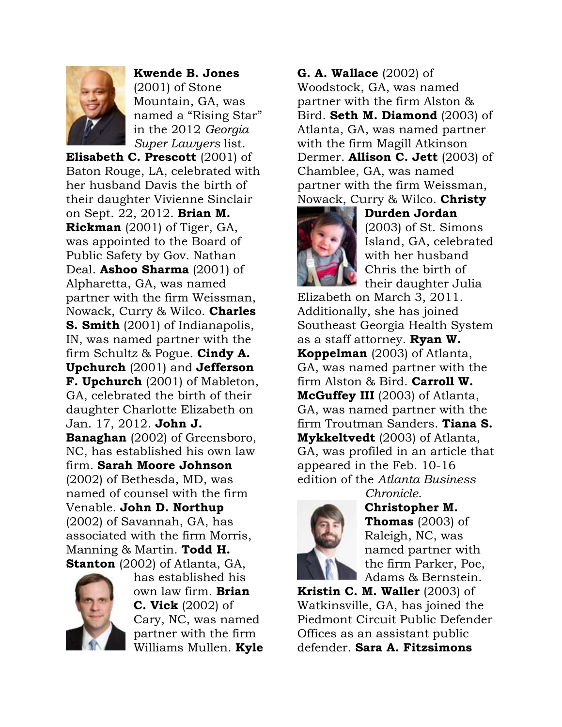

**Kwende B. Jones** (2001) of Stone Mountain, GA, was named a "Rising Star" in the 2012 *Georgia Super Lawyers* list.

**Elisabeth C. Prescott** (2001) of Baton Rouge, LA, celebrated with her husband Davis the birth of their daughter Vivienne Sinclair on Sept. 22, 2012. **Brian M. Rickman** (2001) of Tiger, GA, was appointed to the Board of Public Safety by Gov. Nathan Deal. **Ashoo Sharma** (2001) of Alpharetta, GA, was named partner with the firm Weissman, Nowack, Curry & Wilco. **Charles S. Smith** (2001) of Indianapolis, IN, was named partner with the firm Schultz & Pogue. **Cindy A. Upchurch** (2001) and **Jefferson F. Upchurch** (2001) of Mableton, GA, celebrated the birth of their daughter Charlotte Elizabeth on Jan. 17, 2012. **John J. Banaghan** (2002) of Greensboro, NC, has established his own law firm. **Sarah Moore Johnson** (2002) of Bethesda, MD, was named of counsel with the firm Venable. **John D. Northup** (2002) of Savannah, GA, has associated with the firm Morris, Manning & Martin. **Todd H. Stanton** (2002) of Atlanta, GA,



has established his own law firm. **Brian C. Vick** (2002) of Cary, NC, was named partner with the firm Williams Mullen. **Kyle** 

### **G. A. Wallace** (2002) of

Woodstock, GA, was named partner with the firm Alston & Bird. **Seth M. Diamond** (2003) of Atlanta, GA, was named partner with the firm Magill Atkinson Dermer. **Allison C. Jett** (2003) of Chamblee, GA, was named partner with the firm Weissman, Nowack, Curry & Wilco. **Christy** 



**Durden Jordan** (2003) of St. Simons Island, GA, celebrated with her husband Chris the birth of their daughter Julia

Elizabeth on March 3, 2011. Additionally, she has joined Southeast Georgia Health System as a staff attorney. **Ryan W. Koppelman** (2003) of Atlanta, GA, was named partner with the firm Alston & Bird. **Carroll W. McGuffey III** (2003) of Atlanta, GA, was named partner with the firm Troutman Sanders. **Tiana S. Mykkeltvedt** (2003) of Atlanta, GA, was profiled in an article that appeared in the Feb. 10-16 edition of the *Atlanta Business* 



*Chronicle*. **Christopher M. Thomas** (2003) of Raleigh, NC, was named partner with the firm Parker, Poe, Adams & Bernstein.

**Kristin C. M. Waller** (2003) of Watkinsville, GA, has joined the Piedmont Circuit Public Defender Offices as an assistant public defender. **Sara A. Fitzsimons**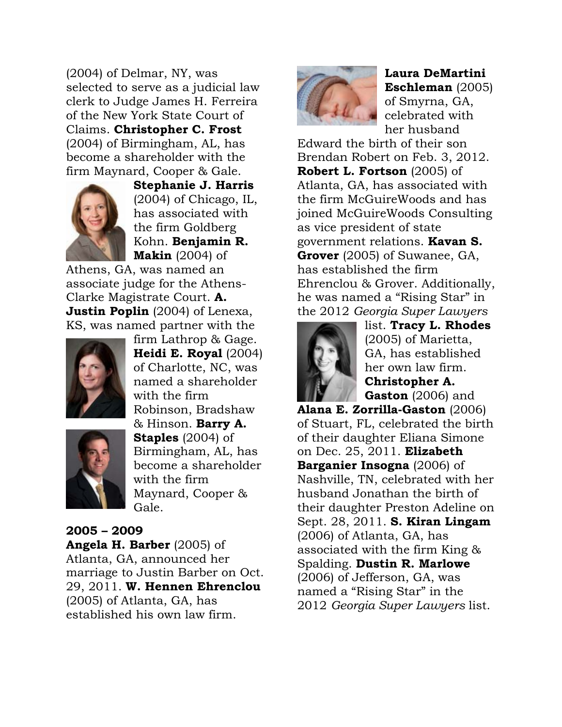(2004) of Delmar, NY, was selected to serve as a judicial law clerk to Judge James H. Ferreira of the New York State Court of Claims. **Christopher C. Frost** (2004) of Birmingham, AL, has become a shareholder with the firm Maynard, Cooper & Gale.



**Stephanie J. Harris** (2004) of Chicago, IL, has associated with the firm Goldberg Kohn. **Benjamin R. Makin** (2004) of

Athens, GA, was named an associate judge for the Athens-Clarke Magistrate Court. **A. Justin Poplin** (2004) of Lenexa, KS, was named partner with the



**Heidi E. Royal** (2004) of Charlotte, NC, was named a shareholder with the firm Robinson, Bradshaw & Hinson. **Barry A. Staples** (2004) of Birmingham, AL, has become a shareholder with the firm Maynard, Cooper & Gale.

firm Lathrop & Gage.

# **2005 – 2009 Angela H. Barber** (2005) of Atlanta, GA, announced her marriage to Justin Barber on Oct. 29, 2011. **W. Hennen Ehrenclou** (2005) of Atlanta, GA, has established his own law firm.



**Laura DeMartini Eschleman** (2005) of Smyrna, GA, celebrated with her husband

Edward the birth of their son Brendan Robert on Feb. 3, 2012. **Robert L. Fortson** (2005) of Atlanta, GA, has associated with the firm McGuireWoods and has joined McGuireWoods Consulting as vice president of state government relations. **Kavan S. Grover** (2005) of Suwanee, GA, has established the firm Ehrenclou & Grover. Additionally, he was named a "Rising Star" in the 2012 *Georgia Super Lawyers*



list. **Tracy L. Rhodes** (2005) of Marietta, GA, has established her own law firm. **Christopher A. Gaston** (2006) and

**Alana E. Zorrilla-Gaston** (2006) of Stuart, FL, celebrated the birth of their daughter Eliana Simone on Dec. 25, 2011. **Elizabeth Barganier Insogna** (2006) of Nashville, TN, celebrated with her husband Jonathan the birth of their daughter Preston Adeline on Sept. 28, 2011. **S. Kiran Lingam** (2006) of Atlanta, GA, has associated with the firm King & Spalding. **Dustin R. Marlowe** (2006) of Jefferson, GA, was named a "Rising Star" in the 2012 *Georgia Super Lawyers* list.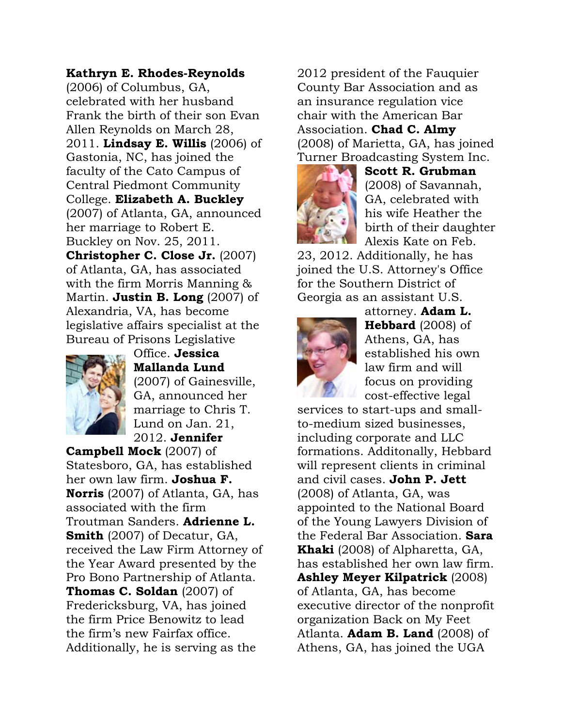### **Kathryn E. Rhodes-Reynolds**

(2006) of Columbus, GA, celebrated with her husband Frank the birth of their son Evan Allen Reynolds on March 28, 2011. **Lindsay E. Willis** (2006) of Gastonia, NC, has joined the faculty of the Cato Campus of Central Piedmont Community College. **Elizabeth A. Buckley** (2007) of Atlanta, GA, announced her marriage to Robert E. Buckley on Nov. 25, 2011. **Christopher C. Close Jr.** (2007) of Atlanta, GA, has associated with the firm Morris Manning & Martin. **Justin B. Long** (2007) of Alexandria, VA, has become legislative affairs specialist at the Bureau of Prisons Legislative



Office. **Jessica Mallanda Lund** (2007) of Gainesville, GA, announced her marriage to Chris T. Lund on Jan. 21, 2012. **Jennifer** 

**Campbell Mock** (2007) of Statesboro, GA, has established her own law firm. **Joshua F. Norris** (2007) of Atlanta, GA, has associated with the firm Troutman Sanders. **Adrienne L. Smith** (2007) of Decatur, GA, received the Law Firm Attorney of the Year Award presented by the Pro Bono Partnership of Atlanta. **Thomas C. Soldan** (2007) of Fredericksburg, VA, has joined the firm Price Benowitz to lead the firm's new Fairfax office. Additionally, he is serving as the

2012 president of the Fauquier County Bar Association and as an insurance regulation vice chair with the American Bar Association. **Chad C. Almy** (2008) of Marietta, GA, has joined Turner Broadcasting System Inc.



**Scott R. Grubman** (2008) of Savannah, GA, celebrated with his wife Heather the birth of their daughter Alexis Kate on Feb.

23, 2012. Additionally, he has joined the U.S. Attorney's Office for the Southern District of Georgia as an assistant U.S.



attorney. **Adam L. Hebbard** (2008) of Athens, GA, has established his own law firm and will focus on providing cost-effective legal

services to start-ups and smallto-medium sized businesses, including corporate and LLC formations. Additonally, Hebbard will represent clients in criminal and civil cases. **John P. Jett** (2008) of Atlanta, GA, was appointed to the National Board of the Young Lawyers Division of the Federal Bar Association. **Sara Khaki** (2008) of Alpharetta, GA, has established her own law firm. **Ashley Meyer Kilpatrick** (2008) of Atlanta, GA, has become executive director of the nonprofit organization Back on My Feet Atlanta. **Adam B. Land** (2008) of Athens, GA, has joined the UGA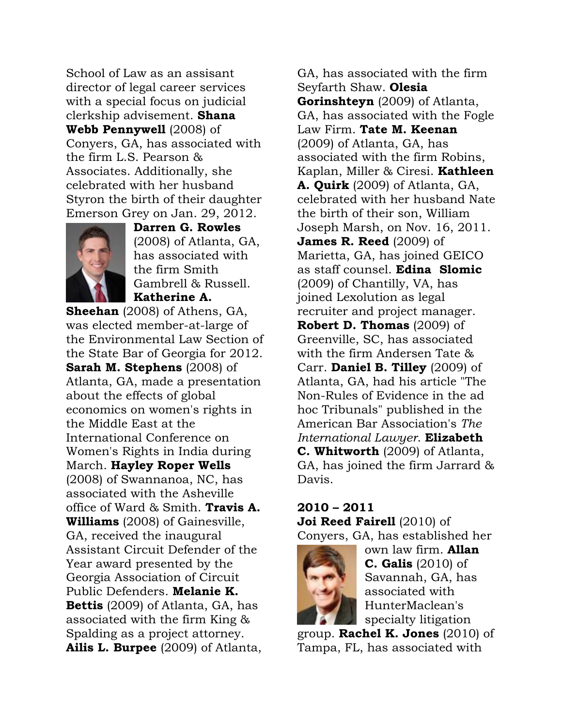School of Law as an assisant director of legal career services with a special focus on judicial clerkship advisement. **Shana Webb Pennywell** (2008) of Conyers, GA, has associated with the firm L.S. Pearson & Associates. Additionally, she celebrated with her husband Styron the birth of their daughter Emerson Grey on Jan. 29, 2012.



**Darren G. Rowles** (2008) of Atlanta, GA, has associated with the firm Smith Gambrell & Russell. **Katherine A.** 

**Sheehan** (2008) of Athens, GA, was elected member-at-large of the Environmental Law Section of the State Bar of Georgia for 2012. **Sarah M. Stephens** (2008) of Atlanta, GA, made a presentation about the effects of global economics on women's rights in the Middle East at the International Conference on Women's Rights in India during March. **Hayley Roper Wells** (2008) of Swannanoa, NC, has associated with the Asheville office of Ward & Smith. **Travis A. Williams** (2008) of Gainesville, GA, received the inaugural Assistant Circuit Defender of the Year award presented by the Georgia Association of Circuit Public Defenders. **Melanie K. Bettis** (2009) of Atlanta, GA, has associated with the firm King & Spalding as a project attorney. **Ailis L. Burpee** (2009) of Atlanta,

GA, has associated with the firm Seyfarth Shaw. **Olesia Gorinshteyn** (2009) of Atlanta, GA, has associated with the Fogle Law Firm. **Tate M. Keenan** (2009) of Atlanta, GA, has associated with the firm Robins, Kaplan, Miller & Ciresi. **Kathleen A. Quirk** (2009) of Atlanta, GA, celebrated with her husband Nate the birth of their son, William Joseph Marsh, on Nov. 16, 2011. **James R. Reed** (2009) of Marietta, GA, has joined GEICO as staff counsel. **Edina Slomic** (2009) of Chantilly, VA, has joined Lexolution as legal recruiter and project manager. **Robert D. Thomas** (2009) of Greenville, SC, has associated with the firm Andersen Tate & Carr. **Daniel B. Tilley** (2009) of Atlanta, GA, had his article "The Non-Rules of Evidence in the ad hoc Tribunals" published in the American Bar Association's *The International Lawyer*. **Elizabeth C. Whitworth** (2009) of Atlanta, GA, has joined the firm Jarrard & Davis.

# **2010 – 2011**

**Joi Reed Fairell** (2010) of Conyers, GA, has established her



own law firm. **Allan C. Galis** (2010) of Savannah, GA, has associated with HunterMaclean's specialty litigation

group. **Rachel K. Jones** (2010) of Tampa, FL, has associated with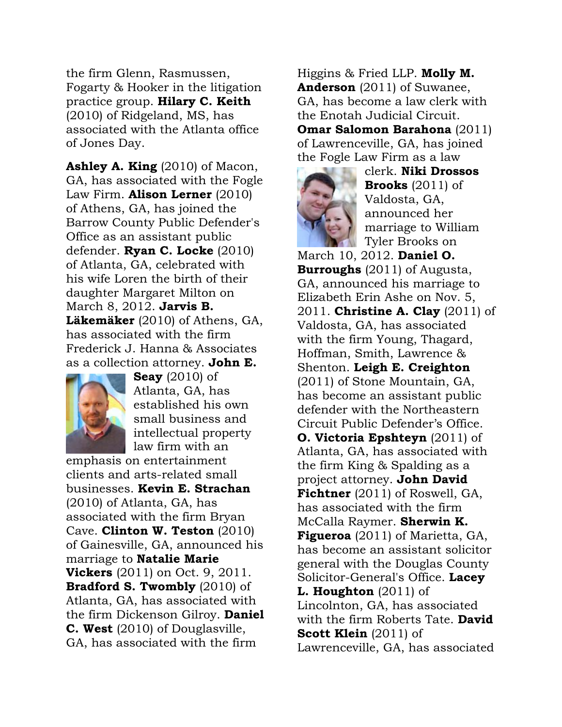the firm Glenn, Rasmussen, Fogarty & Hooker in the litigation practice group. **Hilary C. Keith** (2010) of Ridgeland, MS, has associated with the Atlanta office of Jones Day.

**Ashley A. King** (2010) of Macon, GA, has associated with the Fogle Law Firm. **Alison Lerner** (2010) of Athens, GA, has joined the Barrow County Public Defender's Office as an assistant public defender. **Ryan C. Locke** (2010) of Atlanta, GA, celebrated with his wife Loren the birth of their daughter Margaret Milton on March 8, 2012. **Jarvis B. Läkemäker** (2010) of Athens, GA, has associated with the firm Frederick J. Hanna & Associates as a collection attorney. **John E.** 



**Seay** (2010) of Atlanta, GA, has established his own small business and intellectual property law firm with an

emphasis on entertainment clients and arts-related small businesses. **Kevin E. Strachan** (2010) of Atlanta, GA, has associated with the firm Bryan Cave. **Clinton W. Teston** (2010) of Gainesville, GA, announced his marriage to **Natalie Marie Vickers** (2011) on Oct. 9, 2011. **Bradford S. Twombly** (2010) of Atlanta, GA, has associated with the firm Dickenson Gilroy. **Daniel C. West** (2010) of Douglasville, GA, has associated with the firm

Higgins & Fried LLP. **Molly M. Anderson** (2011) of Suwanee, GA, has become a law clerk with the Enotah Judicial Circuit. **Omar Salomon Barahona** (2011) of Lawrenceville, GA, has joined



clerk. **Niki Drossos Brooks** (2011) of Valdosta, GA, announced her marriage to William Tyler Brooks on

March 10, 2012. **Daniel O. Burroughs** (2011) of Augusta, GA, announced his marriage to Elizabeth Erin Ashe on Nov. 5, 2011. **Christine A. Clay** (2011) of Valdosta, GA, has associated with the firm Young, Thagard, Hoffman, Smith, Lawrence & Shenton. **Leigh E. Creighton** (2011) of Stone Mountain, GA, has become an assistant public defender with the Northeastern Circuit Public Defender's Office. **O. Victoria Epshteyn** (2011) of Atlanta, GA, has associated with the firm King & Spalding as a project attorney. **John David Fichtner** (2011) of Roswell, GA, has associated with the firm McCalla Raymer. **Sherwin K. Figueroa** (2011) of Marietta, GA, has become an assistant solicitor general with the Douglas County Solicitor-General's Office. **Lacey L. Houghton** (2011) of Lincolnton, GA, has associated with the firm Roberts Tate. **David Scott Klein** (2011) of Lawrenceville, GA, has associated